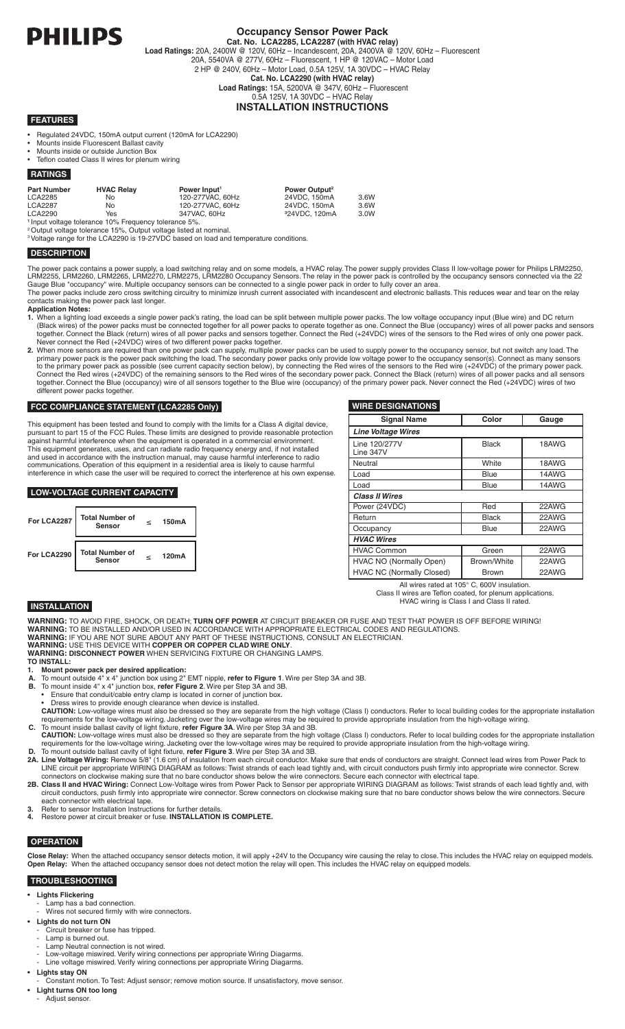

# **Occupancy Sensor Power Pack**

**Cat. No. LCA2285, LCA2287 (with HVAC relay) Load Ratings:** 20A, 2400W @ 120V, 60Hz – Incandescent, 20A, 2400VA @ 120V, 60Hz – Fluorescent 20A, 5540VA @ 277V, 60Hz – Fluorescent, 1 HP @ 120VAC – Motor Load 2 HP @ 240V, 60Hz – Motor Load, 0.5A 125V, 1A 30VDC – HVAC Relay **Cat. No. LCA2290 (with HVAC relay) Load Ratings:** 15A, 5200VA @ 347V, 60Hz – Fluorescent 0.5A 125V, 1A 30VDC – HVAC Relay **INSTALLATION INSTRUCTIONS**

### **FEATURES**

- Regulated 24VDC, 150mA output current (120mA for LCA2290)
- • Mounts inside Fluorescent Ballast cavity
- • Mounts inside or outside Junction Box
- Teflon coated Class II wires for plenum wiring

### **RATINGS**

| Part Number | <b>HVAC Relay</b>                                                | Power Input <sup>1</sup> | Power Output <sup>2</sup> |      |
|-------------|------------------------------------------------------------------|--------------------------|---------------------------|------|
| LCA2285     | No.                                                              | 120-277VAC, 60Hz         | 24VDC, 150mA              | 3.6W |
| LCA2287     | No.                                                              | 120-277VAC, 60Hz         | 24VDC. 150mA              | 3.6W |
| LCA2290     | Yes                                                              | 347VAC, 60Hz             | <sup>3</sup> 24VDC. 120mA | 3.0W |
|             | <sup>1</sup> Input voltage tolerance 10% Frequency tolerance 5%. |                          |                           |      |

<sup>2</sup>Output voltage tolerance 15%, Output voltage listed at nominal.

<sup>3</sup>Voltage range for the LCA2290 is 19-27VDC based on load and temperature conditions.

#### **DESCRIPTION**

The power pack contains a power supply, a load switching relay and on some models, a HVAC relay. The power supply provides Class II low-voltage power for Philips LRM2250, LRM2255, LRM2260, LRM2265, LRM2270, LRM2275, LRM2280 Occupancy Sensors. The relay in the power pack is controlled by the occupancy sensors connected via the 22 Gauge Blue "occupancy" wire. Multiple occupancy sensors can be connected to a single power pack in order to fully cover an area. The power packs include zero cross switching circuitry to minimize inrush current associated with incandescent and electronic ballasts. This reduces wear and tear on the relay

contacts making the power pack last longer. **Application Notes:**

- 
- **1.** When a lighting load exceeds a single power pack's rating, the load can be split between multiple power packs. The low voltage occupancy input (Blue wire) and DC return (Black wires) of the power packs must be connected together for all power packs to operate together as one. Connect the Blue (occupancy) wires of all power packs and sensors together. Connect the Black (return) wires of all power packs and sensors together. Connect the Red (+24VDC) wires of the sensors to the Red wires of only one power pack.
- Never connect the Red (+24VDC) wires of two different power packs together.<br>2. When more sensors are required than one power pack can supply, multiple power packs can be used to supply power to the occupancy sensor, but no primary power pack is the power pack switching the load. The secondary power packs only provide low voltage power to the occupancy sensor(s). Connect as many sensors to the primary power pack as possible (see current capacity section below), by connecting the Red wires of the sensors to the Red wire (+24VDC) of the primary power pack. Connect the Red wires (+24VDC) of the remaining sensors to the Red wires of the secondary power pack. Connect the Black (return) wires of all power packs and all sensors together. Connect the Blue (occupancy) wire of all sensors together to the Blue wire (occupancy) of the primary power pack. Never connect the Red (+24VDC) wires of two different power packs together.

#### **FCC COMPLIANCE STATEMENT (LCA2285 Only)**

This equipment has been tested and found to comply with the limits for a Class A digital device, pursuant to part 15 of the FCC Rules. These limits are designed to provide reasonable protection against harmful interference when the equipment is operated in a commercial environment. This equipment generates, uses, and can radiate radio frequency energy and, if not installed and used in accordance with the instruction manual, may cause harmful interference to radio communications. Operation of this equipment in a residential area is likely to cause harmful interference in which case the user will be required to correct the interference at his own expense.

#### **LOW-VOLTAGE CURRENT CAPACITY**



#### **WIRE DESIGNATIONS**

| <b>Signal Name</b>               | Color        | Gauge |  |  |  |
|----------------------------------|--------------|-------|--|--|--|
| <b>Line Voltage Wires</b>        |              |       |  |  |  |
| Line 120/277V<br>Line 347V       | <b>Black</b> | 18AWG |  |  |  |
| Neutral                          | White        | 18AWG |  |  |  |
| Load                             | <b>Blue</b>  | 14AWG |  |  |  |
| Load                             | Blue         | 14AWG |  |  |  |
| <b>Class II Wires</b>            |              |       |  |  |  |
| Power (24VDC)                    | Red          | 22AWG |  |  |  |
| Return                           | <b>Black</b> | 22AWG |  |  |  |
| Occupancy                        | Blue         | 22AWG |  |  |  |
| <b>HVAC Wires</b>                |              |       |  |  |  |
| <b>HVAC Common</b>               | Green        | 22AWG |  |  |  |
| HVAC NO (Normally Open)          | Brown/White  | 22AWG |  |  |  |
| <b>HVAC NC (Normally Closed)</b> | <b>Brown</b> | 22AWG |  |  |  |

All wires rated at 105° C, 600V insulation. Class II wires are Teflon coated, for plenum applications.

#### HVAC wiring is Class I and Class II rated.

# **INSTALLATION**

**WARNING:** TO AVOID FIRE, SHOCK, OR DEATH; **TURN OFF POWER** AT CIRCUIT BREAKER OR FUSE AND TEST THAT POWER IS OFF BEFORE WIRING! **WARNING:** TO BE INSTALLED AND/OR USED IN ACCORDANCE WITH APPROPRIATE ELECTRICAL CODES AND REGULATIONS. **WARNING:** IF YOU ARE NOT SURE ABOUT ANY PART OF THESE INSTRUCTIONS, CONSULT AN ELECTRICIAN.

- **WARNING:** USE THIS DEVICE WITH **COPPER OR COPPER CLAD WIRE ONLY**. **WARNING: DISCONNECT POWER** WHEN SERVICING FIXTURE OR CHANGING LAMPS.
- **TO INSTALL:**
- **1. Mount power pack per desired application:**
- **A.** To mount outside 4" x 4" junction box using 2" EMT nipple, **refer to Figure 1**. Wire per Step 3A and 3B.
- **B.** To mount inside 4" x 4" junction box, **refer Figure 2**. Wire per Step 3A and 3B.
- Ensure that conduit/cable entry clamp is located in corner of junction box.
- Dress wires to provide enough clearance when device is installed.<br>**CAUTION:** Low-voltage wires must also be dressed so they are separate from the high voltage (Class I) conductors. Refer to local building codes for the a
- requirements for the low-voltage wiring. Jacketing over the low-voltage wires may be required to provide appropriate insulation from the high-voltage wiring.<br>C. To mount inside ballast cavity of light fixture, refer Figure **CAUTION:** Low-voltage wires must also be dressed so they are separate from the high voltage (Class I) conductors. Refer to local building codes for the appropriate installation
- requirements for the low-voltage wiring. Jacketing over the low-voltage wires may be required to provide appropriate insulation from the high-voltage wiring.<br>D. To mount outside ballast cavity of light fixture, refer Figur **2A. Line Voltage Wiring:** Remove 5/8" (1.6 cm) of insulation from each circuit conductor. Make sure that ends of conductors are straight. Connect lead wires from Power Pack to
- LINE circuit per appropriate WIRING DIAGRAM as follows: Twist strands of each lead tightly and, with circuit conductors push firmly into appropriate wire connector. Screw connectors on clockwise making sure that no bare conductor shows below the wire connectors. Secure each connector with electrical tape. **2B. Class II and HVAC Wiring:** Connect Low-Voltage wires from Power Pack to Sensor per appropriate WIRING DIAGRAM as follows: Twist strands of each lead tightly and, with
- circuit conductors, push firmly into appropriate wire connector. Screw connectors on clockwise making sure that no bare conductor shows below the wire connectors. Secure each connector with electrical tape.
- **3.** Refer to sensor Installation Instructions for further details. **4.** Restore power at circuit breaker or fuse. **INSTALLATION IS COMPLETE.**

# **OPERATION**

**Close Relay:** When the attached occupancy sensor detects motion, it will apply +24V to the Occupancy wire causing the relay to close. This includes the HVAC relay on equipped models. **Open Relay:** When the attached occupancy sensor does not detect motion the relay will open. This includes the HVAC relay on equipped models.

#### **TROUBLESHOOTING**

- **Lights Flickering**
- - Lamp has a bad connection. Wires not secured firmly with wire connectors.
- **• Lights do not turn ON**
- Circuit breaker or fuse has tripped.
- Lamp is burned out.
- Lamp Neutral connection is not wired.
- Low-voltage miswired. Verify wiring connections per appropriate Wiring Diagarms. Line voltage miswired. Verify wiring connections per appropriate Wiring Diagarms.
- **• Lights stay ON**
- Constant motion. To Test: Adjust sensor; remove motion source. If unsatisfactory, move sensor.
- **• Light turns ON too long** Adjust sensor.